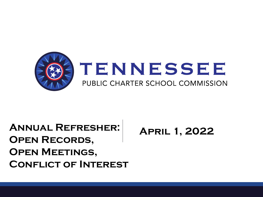

#### **Annual Refresher: Open Records, Open Meetings, Conflict of Interest**

**April 1, 2022**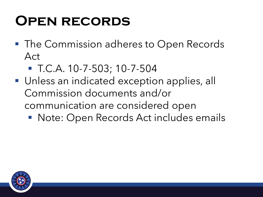## **Open records**

- The Commission adheres to Open Records Act
	- T.C.A. 10-7-503; 10-7-504
- Unless an indicated exception applies, all Commission documents and/or communication are considered open
	- Note: Open Records Act includes emails

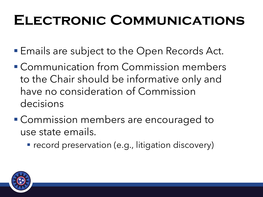# **Electronic Communications**

- **Emails are subject to the Open Records Act.**
- Communication from Commission members to the Chair should be informative only and have no consideration of Commission decisions
- Commission members are encouraged to use state emails.
	- **T** record preservation (e.g., litigation discovery)

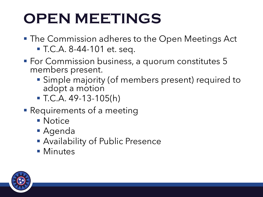# **OPEN MEETINGS**

- **The Commission adheres to the Open Meetings Act** ▪ T.C.A. 8-44-101 et. seq.
- **For Commission business, a quorum constitutes 5** members present.
	- **· Simple majority (of members present) required to** adopt a motion
	- $\blacksquare$  T.C.A. 49-13-105(h)
- **Requirements of a meeting** 
	- Notice
	- Agenda
	- **Availability of Public Presence**
	- Minutes

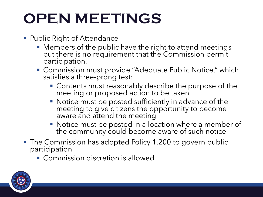# **OPEN MEETINGS**

- Public Right of Attendance
	- **Members of the public have the right to attend meetings** but there is no requirement that the Commission permit participation.
	- Commission must provide "Adequate Public Notice," which satisfies a three-prong test:
		- **Contents must reasonably describe the purpose of the** meeting or proposed action to be taken
		- Notice must be posted sufficiently in advance of the meeting to give citizens the opportunity to become aware and attend the meeting
		- Notice must be posted in a location where a member of the community could become aware of such notice
- The Commission has adopted Policy 1.200 to govern public participation
	- Commission discretion is allowed

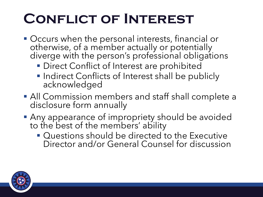# **Conflict of Interest**

- Occurs when the personal interests, financial or otherwise, of a member actually or potentially diverge with the person's professional obligations
	- **Direct Conflict of Interest are prohibited**
	- **Indirect Conflicts of Interest shall be publicly** acknowledged
- All Commission members and staff shall complete a disclosure form annually
- **Any appearance of impropriety should be avoided** to the best of the members' ability
	- Questions should be directed to the Executive Director and/or General Counsel for discussion